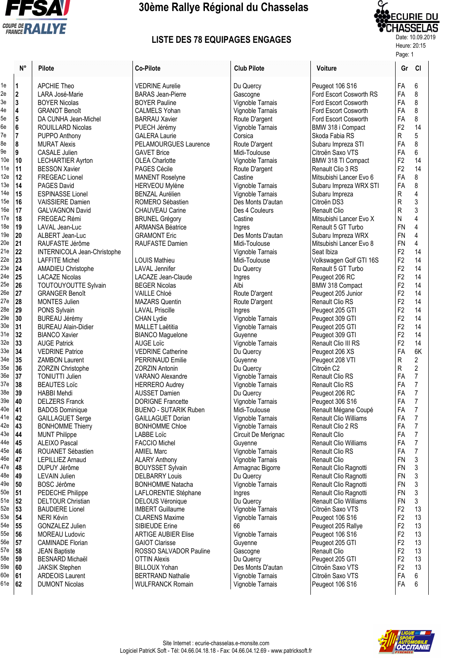

## **30ème Rallye Régional du Chasselas**

## Date: 10.09.2019 **LISTE DES 78 EQUIPAGES ENGAGES**



Heure: 20:15

|                                                                                                                                                                                                                                                                                          | N°                                                                                                                                                                                                                                                           | Pilote                                                                                                                                                                                                                                                                                                                                                                                                                                                                                                                                                                                                                                                                                                                                                                                                                                                                                                                                                                                                                         |
|------------------------------------------------------------------------------------------------------------------------------------------------------------------------------------------------------------------------------------------------------------------------------------------|--------------------------------------------------------------------------------------------------------------------------------------------------------------------------------------------------------------------------------------------------------------|--------------------------------------------------------------------------------------------------------------------------------------------------------------------------------------------------------------------------------------------------------------------------------------------------------------------------------------------------------------------------------------------------------------------------------------------------------------------------------------------------------------------------------------------------------------------------------------------------------------------------------------------------------------------------------------------------------------------------------------------------------------------------------------------------------------------------------------------------------------------------------------------------------------------------------------------------------------------------------------------------------------------------------|
| ۱e<br>e<br>Зe<br>1e<br>ōе<br>òе<br>7e<br>3e<br>Эe<br>10e<br>11e<br>12e<br>13e<br>14e<br>15e<br>16e<br>17e<br>18e<br>19e<br>20e<br>21e<br>22e<br>23e<br>24e<br>25e<br>26e<br>27e<br>28e<br>29e<br>30e<br>31e<br>32e<br>33е<br>34e<br>35e<br>36e<br>37e<br>38e<br>39e<br>40e<br>11e<br>12e | 1<br>$\overline{2}$<br>3<br>4<br>5<br>6<br>7<br>8<br>9<br>10<br>11<br>12<br>14<br>15<br>16<br>17<br>18<br>19<br>20<br>21<br>22<br>23<br>24<br>25<br>26<br>27<br>28<br>29<br>30<br>31<br>32<br>33<br>34<br>35<br>36<br>37<br>38<br>39<br>40<br>41<br>42<br>43 | <b>APCHIE Theo</b><br>LARA José-Marie<br><b>BOYER Nicolas</b><br><b>GRANOT Benoît</b><br>DA CUNHA Jean-Michel<br>ROUILLARD Nicolas<br>PUPPO Anthony<br><b>MURAT Alexis</b><br><b>CASALE Julien</b><br><b>LECHARTIER Ayrton</b><br><b>BESSON Xavier</b><br><b>FREGEAC Lionel</b><br><b>PAGES David</b><br><b>ESPINASSE Lionel</b><br><b>VAISSIERE Damien</b><br><b>GALVAGNON David</b><br>FREGEAC Rémi<br>LAVAL Jean-Luc<br>ALBERT Jean-Luc<br>RAUFASTE Jérôme<br>INTERNICOLA Jean-Ch<br><b>LAFFITE Michel</b><br><b>AMADIEU Christophe</b><br><b>LACAZE Nicolas</b><br>TOUTOUYOUTTE Sylva<br><b>GRANGER Benoît</b><br><b>MONTES Julien</b><br>PONS Sylvain<br><b>BUREAU Jérémy</b><br><b>BUREAU Alain-Didier</b><br><b>BIANCO Xavier</b><br><b>AUGE Patrick</b><br><b>VEDRINE Patrice</b><br><b>ZAMBON Laurent</b><br><b>ZORZIN Christophe</b><br><b>TONIUTTI Julien</b><br><b>BEAUTES Loïc</b><br><b>HABBI Mehdi</b><br><b>DELZERS Franck</b><br><b>BADOS Dominique</b><br><b>GAILLAGUET Serge</b><br><b>BONHOMME Thierry</b> |
|                                                                                                                                                                                                                                                                                          |                                                                                                                                                                                                                                                              |                                                                                                                                                                                                                                                                                                                                                                                                                                                                                                                                                                                                                                                                                                                                                                                                                                                                                                                                                                                                                                |
|                                                                                                                                                                                                                                                                                          |                                                                                                                                                                                                                                                              |                                                                                                                                                                                                                                                                                                                                                                                                                                                                                                                                                                                                                                                                                                                                                                                                                                                                                                                                                                                                                                |
|                                                                                                                                                                                                                                                                                          |                                                                                                                                                                                                                                                              |                                                                                                                                                                                                                                                                                                                                                                                                                                                                                                                                                                                                                                                                                                                                                                                                                                                                                                                                                                                                                                |
|                                                                                                                                                                                                                                                                                          |                                                                                                                                                                                                                                                              |                                                                                                                                                                                                                                                                                                                                                                                                                                                                                                                                                                                                                                                                                                                                                                                                                                                                                                                                                                                                                                |
|                                                                                                                                                                                                                                                                                          |                                                                                                                                                                                                                                                              |                                                                                                                                                                                                                                                                                                                                                                                                                                                                                                                                                                                                                                                                                                                                                                                                                                                                                                                                                                                                                                |
|                                                                                                                                                                                                                                                                                          |                                                                                                                                                                                                                                                              |                                                                                                                                                                                                                                                                                                                                                                                                                                                                                                                                                                                                                                                                                                                                                                                                                                                                                                                                                                                                                                |
|                                                                                                                                                                                                                                                                                          |                                                                                                                                                                                                                                                              |                                                                                                                                                                                                                                                                                                                                                                                                                                                                                                                                                                                                                                                                                                                                                                                                                                                                                                                                                                                                                                |
|                                                                                                                                                                                                                                                                                          |                                                                                                                                                                                                                                                              |                                                                                                                                                                                                                                                                                                                                                                                                                                                                                                                                                                                                                                                                                                                                                                                                                                                                                                                                                                                                                                |
|                                                                                                                                                                                                                                                                                          |                                                                                                                                                                                                                                                              |                                                                                                                                                                                                                                                                                                                                                                                                                                                                                                                                                                                                                                                                                                                                                                                                                                                                                                                                                                                                                                |
|                                                                                                                                                                                                                                                                                          |                                                                                                                                                                                                                                                              |                                                                                                                                                                                                                                                                                                                                                                                                                                                                                                                                                                                                                                                                                                                                                                                                                                                                                                                                                                                                                                |
|                                                                                                                                                                                                                                                                                          |                                                                                                                                                                                                                                                              |                                                                                                                                                                                                                                                                                                                                                                                                                                                                                                                                                                                                                                                                                                                                                                                                                                                                                                                                                                                                                                |
|                                                                                                                                                                                                                                                                                          |                                                                                                                                                                                                                                                              |                                                                                                                                                                                                                                                                                                                                                                                                                                                                                                                                                                                                                                                                                                                                                                                                                                                                                                                                                                                                                                |
|                                                                                                                                                                                                                                                                                          |                                                                                                                                                                                                                                                              |                                                                                                                                                                                                                                                                                                                                                                                                                                                                                                                                                                                                                                                                                                                                                                                                                                                                                                                                                                                                                                |
|                                                                                                                                                                                                                                                                                          |                                                                                                                                                                                                                                                              |                                                                                                                                                                                                                                                                                                                                                                                                                                                                                                                                                                                                                                                                                                                                                                                                                                                                                                                                                                                                                                |
|                                                                                                                                                                                                                                                                                          |                                                                                                                                                                                                                                                              |                                                                                                                                                                                                                                                                                                                                                                                                                                                                                                                                                                                                                                                                                                                                                                                                                                                                                                                                                                                                                                |
| 13е                                                                                                                                                                                                                                                                                      | 44                                                                                                                                                                                                                                                           | <b>MUNT Philippe</b>                                                                                                                                                                                                                                                                                                                                                                                                                                                                                                                                                                                                                                                                                                                                                                                                                                                                                                                                                                                                           |
| 14e                                                                                                                                                                                                                                                                                      | 45                                                                                                                                                                                                                                                           | <b>ALEIXO Pascal</b>                                                                                                                                                                                                                                                                                                                                                                                                                                                                                                                                                                                                                                                                                                                                                                                                                                                                                                                                                                                                           |
| 15e<br>16e                                                                                                                                                                                                                                                                               | 46<br>47                                                                                                                                                                                                                                                     | ROUANET Sébastien<br><b>LEPILLIEZ Arnaud</b>                                                                                                                                                                                                                                                                                                                                                                                                                                                                                                                                                                                                                                                                                                                                                                                                                                                                                                                                                                                   |
| 17e                                                                                                                                                                                                                                                                                      | 48                                                                                                                                                                                                                                                           | DUPUY Jérôme                                                                                                                                                                                                                                                                                                                                                                                                                                                                                                                                                                                                                                                                                                                                                                                                                                                                                                                                                                                                                   |
| 18e<br>19e                                                                                                                                                                                                                                                                               | 49<br>50                                                                                                                                                                                                                                                     | <b>LEVAIN Julien</b><br><b>BOSC Jérôme</b>                                                                                                                                                                                                                                                                                                                                                                                                                                                                                                                                                                                                                                                                                                                                                                                                                                                                                                                                                                                     |
| 50e                                                                                                                                                                                                                                                                                      | 51                                                                                                                                                                                                                                                           | PEDECHE Philippe                                                                                                                                                                                                                                                                                                                                                                                                                                                                                                                                                                                                                                                                                                                                                                                                                                                                                                                                                                                                               |
| 51e<br>52e                                                                                                                                                                                                                                                                               | 52<br>53                                                                                                                                                                                                                                                     | <b>DELTOUR Christian</b><br><b>BAUDIERE Lionel</b>                                                                                                                                                                                                                                                                                                                                                                                                                                                                                                                                                                                                                                                                                                                                                                                                                                                                                                                                                                             |
| 53е<br>54е                                                                                                                                                                                                                                                                               | 54                                                                                                                                                                                                                                                           | <b>NERI Kévin</b>                                                                                                                                                                                                                                                                                                                                                                                                                                                                                                                                                                                                                                                                                                                                                                                                                                                                                                                                                                                                              |
| 55е                                                                                                                                                                                                                                                                                      | 55<br>56                                                                                                                                                                                                                                                     | <b>GONZALEZ Julien</b><br><b>MOREAU Ludovic</b>                                                                                                                                                                                                                                                                                                                                                                                                                                                                                                                                                                                                                                                                                                                                                                                                                                                                                                                                                                                |
| 56е<br>57е                                                                                                                                                                                                                                                                               | 57<br>58                                                                                                                                                                                                                                                     | <b>CAMINADE Florian</b>                                                                                                                                                                                                                                                                                                                                                                                                                                                                                                                                                                                                                                                                                                                                                                                                                                                                                                                                                                                                        |
| 58e                                                                                                                                                                                                                                                                                      | 59                                                                                                                                                                                                                                                           | <b>JEAN Baptiste</b><br><b>BESNARD Michaël</b>                                                                                                                                                                                                                                                                                                                                                                                                                                                                                                                                                                                                                                                                                                                                                                                                                                                                                                                                                                                 |
| 59е<br>30e                                                                                                                                                                                                                                                                               | 60<br>61                                                                                                                                                                                                                                                     | <b>JAKSIK Stephen</b><br><b>ARDEOIS Laurent</b>                                                                                                                                                                                                                                                                                                                                                                                                                                                                                                                                                                                                                                                                                                                                                                                                                                                                                                                                                                                |
| 31e                                                                                                                                                                                                                                                                                      | 62                                                                                                                                                                                                                                                           | <b>DUMONT Nicolas</b>                                                                                                                                                                                                                                                                                                                                                                                                                                                                                                                                                                                                                                                                                                                                                                                                                                                                                                                                                                                                          |
|                                                                                                                                                                                                                                                                                          |                                                                                                                                                                                                                                                              |                                                                                                                                                                                                                                                                                                                                                                                                                                                                                                                                                                                                                                                                                                                                                                                                                                                                                                                                                                                                                                |

|     |             |                             |                              |                     |                              | Page: 1        |                |
|-----|-------------|-----------------------------|------------------------------|---------------------|------------------------------|----------------|----------------|
|     | $N^{\circ}$ | Pilote                      | <b>Co-Pilote</b>             | <b>Club Pilote</b>  | Voiture                      |                | Gr Cl          |
| 1e  | 1           | <b>APCHIE Theo</b>          | <b>VEDRINE Aurelie</b>       | Du Quercy           | Peugeot 106 S16              | FA             | 6              |
| 2e  | $\mathbf 2$ | LARA José-Marie             | <b>BARAS Jean-Pierre</b>     | Gascogne            | Ford Escort Cosworth RS      | FA             | 8              |
| 3e  | $\mathbf 3$ | <b>BOYER Nicolas</b>        | <b>BOYER Pauline</b>         | Vignoble Tarnais    | Ford Escort Cosworth         | FA             | 8              |
| 4e  | 4           | <b>GRANOT Benoît</b>        | <b>CALMELS Yohan</b>         | Vignoble Tarnais    | Ford Escort Cosworth         | FA             | 8              |
| 5e  | 5           | DA CUNHA Jean-Michel        | <b>BARRAU Xavier</b>         | Route D'argent      | Ford Escort Cosworth         | FA             | 8              |
| 6e  | 6           | ROUILLARD Nicolas           | PUECH Jérémy                 | Vignoble Tarnais    | BMW 318 i Compact            | F <sub>2</sub> | 14             |
| 7e  | 7           | PUPPO Anthony               | <b>GALERA Laurie</b>         | Corsica             | Skoda Fabia RS               | R              | 5              |
| 8e  | 8           | <b>MURAT Alexis</b>         | PELAMOURGUES Laurence        | Route D'argent      | Subaru Impreza STI           | FA             | 8              |
| 9e  | 9           | <b>CASALE Julien</b>        | <b>GAVET Brice</b>           | Midi-Toulouse       | Citroën Saxo VTS             | FA             | 6              |
| 10e | 10          | <b>LECHARTIER Ayrton</b>    | <b>OLEA Charlotte</b>        | Vignoble Tarnais    | BMW 318 TI Compact           | F <sub>2</sub> | 14             |
| 11e | 11          | <b>BESSON Xavier</b>        | PAGES Cécile                 | Route D'argent      | Renault Clio 3 RS            | F <sub>2</sub> | 14             |
| 12e | 12          | <b>FREGEAC Lionel</b>       | <b>MANENT Roselyne</b>       | Castine             | Mitsubishi Lancer Evo 6      | FA             | 8              |
| 13e | 14          | <b>PAGES David</b>          | <b>HERVEOU Mylène</b>        | Vignoble Tarnais    | Subaru Impreza WRX STI       | FA             | 8              |
| 14e | 15          | <b>ESPINASSE Lionel</b>     | <b>BENZAL Aurélien</b>       | Vignoble Tarnais    | Subaru Impreza               | R              | 4              |
| 15e | 16          | <b>VAISSIERE Damien</b>     | ROMERO Sébastien             | Des Monts D'autan   | Citroën DS3                  | ${\sf R}$      | 3              |
| 16e | 17          | <b>GALVAGNON David</b>      | <b>CHAUVEAU Carine</b>       | Des 4 Couleurs      | <b>Renault Clio</b>          | ${\sf R}$      | 3              |
| 17e | 18          | FREGEAC Rémi                | <b>BRUNEL Grégory</b>        | Castine             | Mitsubishi Lancer Evo X      | N              | $\overline{4}$ |
| 18e | 19          | LAVAL Jean-Luc              | <b>ARMANSA Béatrice</b>      | Ingres              | Renault 5 GT Turbo           | <b>FN</b>      | $\overline{4}$ |
| 19e | 20          | ALBERT Jean-Luc             | <b>GRAMONT Eric</b>          | Des Monts D'autan   | Subaru Impreza WRX           | <b>FN</b>      | 4              |
| 20e | 21          | RAUFASTE Jérôme             | RAUFASTE Damien              | Midi-Toulouse       | Mitsubishi Lancer Evo 8      | <b>FN</b>      | 4              |
| 21e | 22          | INTERNICOLA Jean-Christophe |                              | Vignoble Tarnais    | Seat Ibiza                   | F <sub>2</sub> | 14             |
| 22e | 23          | <b>LAFFITE Michel</b>       | <b>LOUIS Mathieu</b>         | Midi-Toulouse       | Volkswagen Golf GTI 16S      | F <sub>2</sub> | 14             |
| 23e | 24          | AMADIEU Christophe          | <b>LAVAL</b> Jennifer        | Du Quercy           | Renault 5 GT Turbo           | F <sub>2</sub> | 14             |
| 24e | 25          | <b>LACAZE Nicolas</b>       | LACAZE Jean-Claude           | Ingres              | Peugeot 206 RC               | F <sub>2</sub> | 14             |
| 25e | 26          | TOUTOUYOUTTE Sylvain        | <b>BEGER Nicolas</b>         | Albi                | BMW 318 Compact              | F <sub>2</sub> | 14             |
| 26e | 27          | <b>GRANGER Benoît</b>       | <b>VAILLE Chloé</b>          | Route D'argent      | Peugeot 205 Junior           | F <sub>2</sub> | 14             |
| 27e | 28          | <b>MONTES Julien</b>        | <b>MAZARS Quentin</b>        | Route D'argent      | Renault Clio RS              | F <sub>2</sub> | 14             |
| 28e | 29          | PONS Sylvain                | <b>LAVAL Priscille</b>       | Ingres              | Peugeot 205 GTI              | F <sub>2</sub> | 14             |
| 29e | 30          | <b>BUREAU Jérémy</b>        | <b>CHAN Lydie</b>            | Vignoble Tarnais    | Peugeot 309 GTI              | F <sub>2</sub> | 14             |
| 30e | 31          | <b>BUREAU Alain-Didier</b>  | <b>MALLET Laëtitia</b>       | Vignoble Tarnais    | Peugeot 205 GTI              | F <sub>2</sub> | 14             |
| 31e | 32          | <b>BIANCO Xavier</b>        | <b>BIANCO Maguelone</b>      | Guyenne             | Peugeot 309 GTI              | F <sub>2</sub> | 14             |
| 32e | 33          | <b>AUGE Patrick</b>         | <b>AUGE Loïc</b>             | Vignoble Tarnais    | Renault Clio III RS          | F <sub>2</sub> | 14             |
| 33e | 34          | <b>VEDRINE Patrice</b>      | <b>VEDRINE Catherine</b>     | Du Quercy           | Peugeot 206 XS               | FA             | 6K             |
| 34e | 35          | <b>ZAMBON Laurent</b>       | PERRINAUD Emilie             | Guyenne             | Peugeot 208 VTI              | R              | 2              |
| 35e | 36          | ZORZIN Christophe           | <b>ZORZIN Antonin</b>        | Du Quercy           | Citroën C2                   | ${\sf R}$      | $\overline{2}$ |
| 36e | 37          | <b>TONIUTTI Julien</b>      | VARANO Alexandre             | Vignoble Tarnais    | Renault Clio RS              | FA             | $\overline{7}$ |
| 37e | 38          | <b>BEAUTES Loïc</b>         | <b>HERRERO Audrey</b>        | Vignoble Tarnais    | <b>Renault Clio RS</b>       | FA             | $\overline{7}$ |
| 38e | 39          | <b>HABBI Mehdi</b>          | <b>AUSSET Damien</b>         | Du Quercy           | Peugeot 206 RC               | FA             | $\overline{7}$ |
| 39e | 40          | <b>DELZERS Franck</b>       | <b>DORIGNE Francette</b>     | Vignoble Tarnais    | Peugeot 306 S16              | FA             | 7              |
| 40e | 41          | <b>BADOS Dominique</b>      | <b>BUENO - SUTARIK Ruben</b> | Midi-Toulouse       | Renault Mégane Coupé         | FA             | 7              |
| 41e | 42          | <b>GAILLAGUET Serge</b>     | <b>GAILLAGUET Dorian</b>     | Vignoble Tarnais    | Renault Clio Williams        | FA             | $\overline{7}$ |
| 42e | 43          | <b>BONHOMME Thierry</b>     | <b>BONHOMME Chloe</b>        | Vignoble Tarnais    | Renault Clio 2 RS            | FA             | 7              |
| 43е | 44          | <b>MUNT Philippe</b>        | <b>LABBE</b> Loïc            | Circuit De Merignac | <b>Renault Clio</b>          | FA             | 7              |
| 44e | 45          | <b>ALEIXO Pascal</b>        | FACCIO Michel                | Guyenne             | <b>Renault Clio Williams</b> | FA             | $\overline{7}$ |
| 45e | 46          | ROUANET Sébastien           | <b>AMIEL Marc</b>            | Vignoble Tarnais    | Renault Clio RS              | FA             | $\overline{7}$ |
| 46e | 47          | <b>LEPILLIEZ Arnaud</b>     | <b>ALARY Anthony</b>         | Vignoble Tarnais    | <b>Renault Clio</b>          | <b>FN</b>      | 3              |
| 47e | 48          | DUPUY Jérôme                | <b>BOUYSSET Sylvain</b>      | Armagnac Bigorre    | Renault Clio Ragnotti        | <b>FN</b>      | 3              |
| 48e | 49          | <b>LEVAIN Julien</b>        | <b>DELBARRY Louis</b>        | Du Quercy           | Renault Clio Ragnotti        | <b>FN</b>      | 3              |
| 49e | 50          | BOSC Jérôme                 | <b>BONHOMME Natacha</b>      | Vignoble Tarnais    | Renault Clio Ragnotti        | <b>FN</b>      | 3              |
| 50e | 51          | PEDECHE Philippe            | LAFLORENTIE Stéphane         | Ingres              | Renault Clio Ragnotti        | <b>FN</b>      | 3              |
| 51e | 52          | <b>DELTOUR Christian</b>    | <b>DELOUS Véronique</b>      | Du Quercy           | Renault Clio Williams        | <b>FN</b>      | 3              |
| 52e | 53          | <b>BAUDIERE Lionel</b>      | <b>IMBERT Guillaume</b>      | Vignoble Tarnais    | Citroën Saxo VTS             | F <sub>2</sub> | 13             |
| 53e | 54          | NERI Kévin                  | <b>CLARENS Maxime</b>        | Vignoble Tarnais    | Peugeot 106 S16              | F <sub>2</sub> | 13             |
| 54e | 55          | GONZALEZ Julien             | <b>SIBIEUDE Erine</b>        | 66                  | Peugeot 205 Rallye           | F <sub>2</sub> | 13             |
| 55e | 56          | <b>MOREAU Ludovic</b>       | <b>ARTIGE AUBIER Elise</b>   | Vignoble Tarnais    | Peugeot 106 S16              | F <sub>2</sub> | 13             |
| 56e | 57          | <b>CAMINADE Florian</b>     | <b>GAIOT Clarisse</b>        | Guyenne             | Peugeot 205 GTI              | F <sub>2</sub> | 13             |
| 57e | 58          | <b>JEAN Baptiste</b>        | ROSSO SALVADOR Pauline       | Gascogne            | Renault Clio                 | F <sub>2</sub> | 13             |
| 58e | 59          | BESNARD Michaël             | <b>OTTIN Alexis</b>          | Du Quercy           | Peugeot 205 GTI              | F <sub>2</sub> | 13             |
| 59e | 60          | <b>JAKSIK Stephen</b>       | <b>BILLOUX Yohan</b>         | Des Monts D'autan   | Citroën Saxo VTS             | F <sub>2</sub> | 13             |
| 60e | 61          | <b>ARDEOIS Laurent</b>      | <b>BERTRAND Nathalie</b>     | Vignoble Tarnais    | Citroën Saxo VTS             | FA             | 6              |
| 61e | 62          | <b>DUMONT Nicolas</b>       | <b>WULFRANCK Romain</b>      | Vignoble Tarnais    | Peugeot 106 S16              | FA             | 6              |
|     |             |                             |                              |                     |                              |                |                |